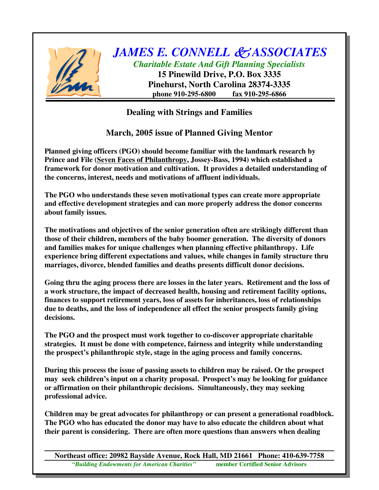

*JAMES E. CONNELL ASSOCIATES Charitable Estate And Gift Planning Specialists* **15 Pinewild Drive, P.O. Box 3335**

**Pinehurst, North Carolina 28374-3335 phone 910-295-6800 fax 910-295-6866**

## **Dealing with Strings and Families**

**March, 2005 issue of Planned Giving Mentor**

**Planned giving officers (PGO) should become familiar with the landmark research by Prince and File (Seven Faces of Philanthropy, Jossey-Bass, 1994) which established a framework for donor motivation and cultivation. It provides a detailed understanding of the concerns, interest, needs and motivations of affluent individuals.**

**The PGO who understands these seven motivational types can create more appropriate and effective development strategies and can more properly address the donor concerns about family issues.**

**The motivations and objectives of the senior generation often are strikingly different than those of their children, members of the baby boomer generation. The diversity of donors and families makes for unique challenges when planning effective philanthropy. Life experience bring different expectations and values, while changes in family structure thru marriages, divorce, blended families and deaths presents difficult donor decisions.**

**Going thru the aging process there are losses in the later years. Retirement and the loss of a work structure, the impact of decreased health, housing and retirement facility options, finances to support retirement years, loss of assets for inheritances, loss of relationships due to deaths, and the loss of independence all effect the senior prospects family giving decisions.**

**The PGO and the prospect must work together to co-discover appropriate charitable strategies. It must be done with competence, fairness and integrity while understanding the prospect's philanthropic style, stage in the aging process and family concerns.**

**During this process the issue of passing assets to children may be raised. Or the prospect may seek children's input on a charity proposal. Prospect's may be looking for guidance or affirmation on their philanthropic decisions. Simultaneously, they may seeking professional advice.**

**Children may be great advocates for philanthropy or can present a generational roadblock. The PGO who has educated the donor may have to also educate the children about what their parent is considering. There are often more questions than answers when dealing**